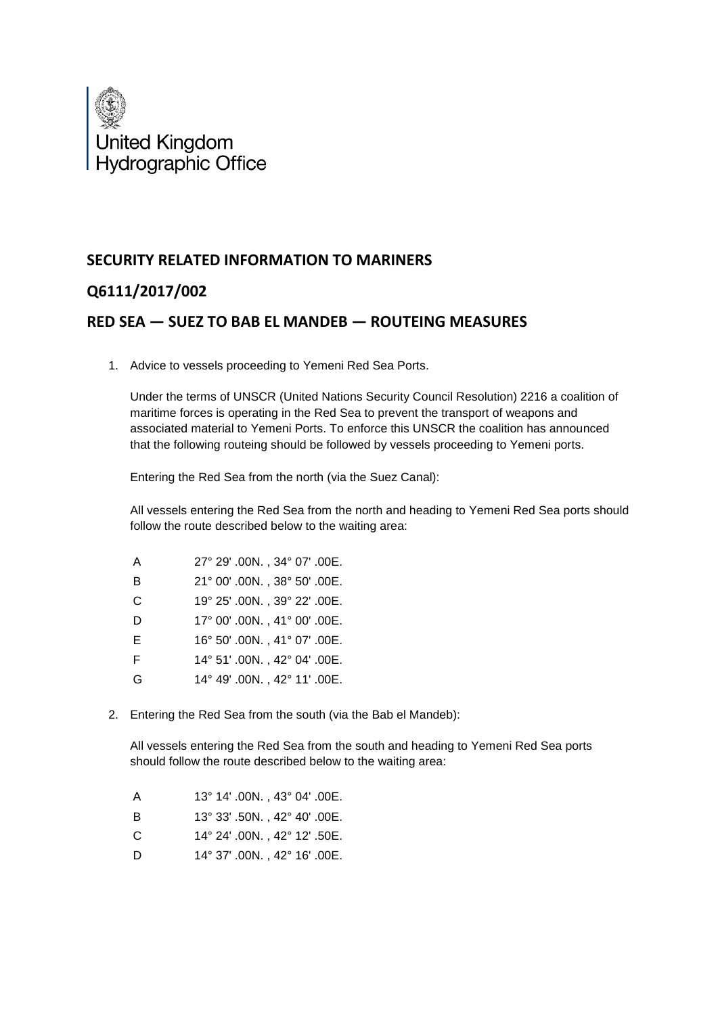

## **SECURITY RELATED INFORMATION TO MARINERS**

## **Q6111/2017/002**

## **RED SEA — SUEZ TO BAB EL MANDEB — ROUTEING MEASURES**

1. Advice to vessels proceeding to Yemeni Red Sea Ports.

Under the terms of UNSCR (United Nations Security Council Resolution) 2216 a coalition of maritime forces is operating in the Red Sea to prevent the transport of weapons and associated material to Yemeni Ports. To enforce this UNSCR the coalition has announced that the following routeing should be followed by vessels proceeding to Yemeni ports.

Entering the Red Sea from the north (via the Suez Canal):

All vessels entering the Red Sea from the north and heading to Yemeni Red Sea ports should follow the route described below to the waiting area:

| A | 27° 29' .00N., 34° 07' .00E. |
|---|------------------------------|
| B | 21° 00' .00N., 38° 50' .00E. |
| C | 19° 25' .00N., 39° 22' .00E. |
| D | 17° 00' .00N., 41° 00' .00E. |
| Е | 16° 50' .00N., 41° 07' .00E. |
| F | 14° 51' .00N., 42° 04' .00E. |
| G | 14° 49' .00N., 42° 11' .00E. |

2. Entering the Red Sea from the south (via the Bab el Mandeb):

All vessels entering the Red Sea from the south and heading to Yemeni Red Sea ports should follow the route described below to the waiting area:

- A 13° 14' .00N. , 43° 04' .00E.
- B 13° 33' .50N. , 42° 40' .00E.
- C 14° 24' .00N. , 42° 12' .50E.
- D 14° 37' .00N. , 42° 16' .00E.